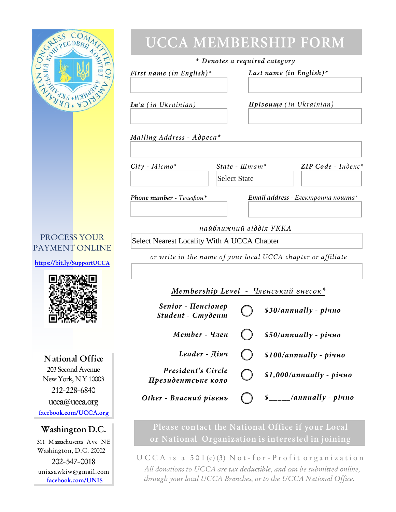| SECREES COMMIT<br><b>UCCA MEMBERSHIP FORM</b>      |                                                              |                                                     |                                          |  |
|----------------------------------------------------|--------------------------------------------------------------|-----------------------------------------------------|------------------------------------------|--|
|                                                    | * Denotes a required category                                |                                                     |                                          |  |
|                                                    | First name (in English)*                                     |                                                     | Last name (in English)*                  |  |
|                                                    |                                                              |                                                     |                                          |  |
| NEW WAY OF A STRATEGIES                            | $\mathbf{I}$ <i>M'</i> $\mathbf{z}$ (in Ukrainian)           | Прізвище (in Ukrainian)                             |                                          |  |
|                                                    | Mailing Address - Adpeca*                                    |                                                     |                                          |  |
|                                                    | $City$ - Micmo*<br><b>Select State</b>                       | ZIP Code - Inderc*<br>State - $L$ Imam <sup>*</sup> |                                          |  |
|                                                    | Phone number - $T$ елефон*                                   |                                                     | <b>Email address</b> - Електронна пошта* |  |
|                                                    | найближчий відділ УККА                                       |                                                     |                                          |  |
| PROCESS YOUR                                       | Select Nearest Locality With A UCCA Chapter                  |                                                     |                                          |  |
| PAYMENT ONLINE                                     | or write in the name of your local UCCA chapter or affiliate |                                                     |                                          |  |
| https://bit.ly/SupportUCCA                         |                                                              |                                                     |                                          |  |
|                                                    | Membership Level - Членський внесок $*$                      |                                                     |                                          |  |
|                                                    | Senior - Пенсіонер<br>Student - Студент                      |                                                     | \$30/annually - piuno                    |  |
|                                                    | $Member - Y$ <sub>ne</sub> $H$                               |                                                     | $$50/annually$ - piuno                   |  |
| National Office                                    | Leader - Діяч                                                |                                                     | $$100/annually$ - piuno                  |  |
| 203 Second Avenue                                  | <b>President's Circle</b>                                    |                                                     | $$1,000/annually$ - piuno                |  |
| New York, NY 10003<br>212-228-6840                 | Президентське коло                                           |                                                     |                                          |  |
| ucca@ucca.org<br>facebook.com/UCCA.org             | Other - Власний рівень                                       |                                                     | /annually - piuno                        |  |
| Washington D.C.                                    | Please contact the National Office if your Local             |                                                     |                                          |  |
| 311 Massachusetts Ave NE<br>Washington, D.C. 20002 | or National Organization is interested in joining            |                                                     |                                          |  |
| 202-547-0018                                       | $U C C A$ is a 501 $(c)$ (3) Not-for-Profit organization     |                                                     |                                          |  |

unis.sawkiw@gmail.com

**facebook.com/UNIS**

*All donations to UCCA are tax deductible, and can be submitted online, through your local UCCA Branches, or to the UCCA National Office.*